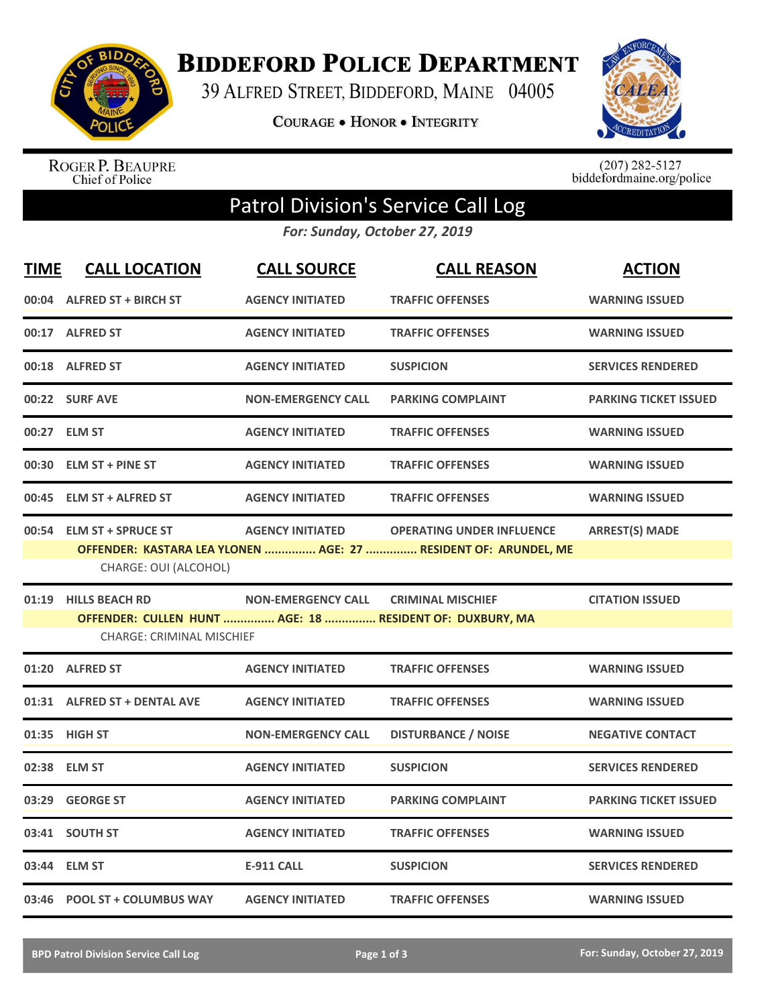

**BIDDEFORD POLICE DEPARTMENT** 

39 ALFRED STREET, BIDDEFORD, MAINE 04005

**COURAGE . HONOR . INTEGRITY** 



ROGER P. BEAUPRE<br>Chief of Police

 $(207)$  282-5127<br>biddefordmaine.org/police

## Patrol Division's Service Call Log

*For: Sunday, October 27, 2019*

| <b>TIME</b> | <b>CALL LOCATION</b>                                     | <b>CALL SOURCE</b>        | <b>CALL REASON</b>                                                                                  | <b>ACTION</b>                |
|-------------|----------------------------------------------------------|---------------------------|-----------------------------------------------------------------------------------------------------|------------------------------|
|             | 00:04 ALFRED ST + BIRCH ST                               | <b>AGENCY INITIATED</b>   | <b>TRAFFIC OFFENSES</b>                                                                             | <b>WARNING ISSUED</b>        |
|             | 00:17 ALFRED ST                                          | <b>AGENCY INITIATED</b>   | <b>TRAFFIC OFFENSES</b>                                                                             | <b>WARNING ISSUED</b>        |
|             | 00:18 ALFRED ST                                          | <b>AGENCY INITIATED</b>   | <b>SUSPICION</b>                                                                                    | <b>SERVICES RENDERED</b>     |
|             | 00:22 SURF AVE                                           | <b>NON-EMERGENCY CALL</b> | <b>PARKING COMPLAINT</b>                                                                            | <b>PARKING TICKET ISSUED</b> |
|             | 00:27 ELM ST                                             | <b>AGENCY INITIATED</b>   | <b>TRAFFIC OFFENSES</b>                                                                             | <b>WARNING ISSUED</b>        |
|             | 00:30 ELM ST + PINE ST                                   | <b>AGENCY INITIATED</b>   | <b>TRAFFIC OFFENSES</b>                                                                             | <b>WARNING ISSUED</b>        |
|             | 00:45 ELM ST + ALFRED ST                                 | <b>AGENCY INITIATED</b>   | <b>TRAFFIC OFFENSES</b>                                                                             | <b>WARNING ISSUED</b>        |
|             | 00:54 ELM ST + SPRUCE ST<br>CHARGE: OUI (ALCOHOL)        | <b>AGENCY INITIATED</b>   | <b>OPERATING UNDER INFLUENCE</b><br>OFFENDER: KASTARA LEA YLONEN  AGE: 27  RESIDENT OF: ARUNDEL, ME | <b>ARREST(S) MADE</b>        |
|             | 01:19 HILLS BEACH RD<br><b>CHARGE: CRIMINAL MISCHIEF</b> | <b>NON-EMERGENCY CALL</b> | <b>CRIMINAL MISCHIEF</b><br>OFFENDER: CULLEN HUNT  AGE: 18  RESIDENT OF: DUXBURY, MA                | <b>CITATION ISSUED</b>       |
|             | 01:20 ALFRED ST                                          | <b>AGENCY INITIATED</b>   | <b>TRAFFIC OFFENSES</b>                                                                             | <b>WARNING ISSUED</b>        |
|             | 01:31 ALFRED ST + DENTAL AVE                             | <b>AGENCY INITIATED</b>   | <b>TRAFFIC OFFENSES</b>                                                                             | <b>WARNING ISSUED</b>        |
|             | 01:35 HIGH ST                                            | <b>NON-EMERGENCY CALL</b> | <b>DISTURBANCE / NOISE</b>                                                                          | <b>NEGATIVE CONTACT</b>      |
|             | 02:38 ELM ST                                             | <b>AGENCY INITIATED</b>   | <b>SUSPICION</b>                                                                                    | <b>SERVICES RENDERED</b>     |
|             | 03:29 GEORGE ST                                          | <b>AGENCY INITIATED</b>   | <b>PARKING COMPLAINT</b>                                                                            | <b>PARKING TICKET ISSUED</b> |
|             | 03:41 SOUTH ST                                           | <b>AGENCY INITIATED</b>   | <b>TRAFFIC OFFENSES</b>                                                                             | <b>WARNING ISSUED</b>        |
|             | 03:44 ELM ST                                             | <b>E-911 CALL</b>         | <b>SUSPICION</b>                                                                                    | <b>SERVICES RENDERED</b>     |
|             | 03:46 POOL ST + COLUMBUS WAY                             | <b>AGENCY INITIATED</b>   | <b>TRAFFIC OFFENSES</b>                                                                             | <b>WARNING ISSUED</b>        |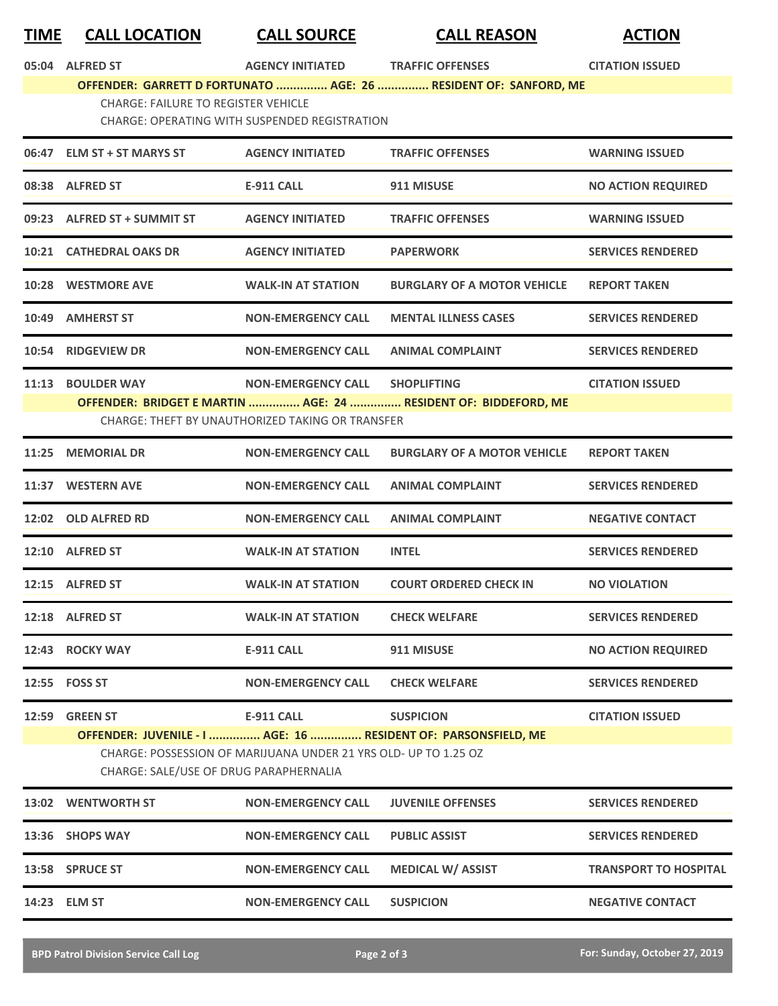## **TIME CALL LOCATION CALL SOURCE CALL REASON ACTION**

**05:04 ALFRED ST AGENCY INITIATED TRAFFIC OFFENSES CITATION ISSUED OFFENDER: GARRETT D FORTUNATO ............... AGE: 26 ............... RESIDENT OF: SANFORD, ME** CHARGE: FAILURE TO REGISTER VEHICLE

CHARGE: OPERATING WITH SUSPENDED REGISTRATION

|                                                  | 06:47 ELM ST + ST MARYS ST                                      | <b>AGENCY INITIATED</b>   | <b>TRAFFIC OFFENSES</b>                                         | <b>WARNING ISSUED</b>        |  |  |
|--------------------------------------------------|-----------------------------------------------------------------|---------------------------|-----------------------------------------------------------------|------------------------------|--|--|
|                                                  | 08:38 ALFRED ST                                                 | E-911 CALL                | 911 MISUSE                                                      | <b>NO ACTION REQUIRED</b>    |  |  |
|                                                  | 09:23 ALFRED ST + SUMMIT ST                                     | <b>AGENCY INITIATED</b>   | <b>TRAFFIC OFFENSES</b>                                         | <b>WARNING ISSUED</b>        |  |  |
|                                                  | 10:21 CATHEDRAL OAKS DR                                         | <b>AGENCY INITIATED</b>   | <b>PAPERWORK</b>                                                | <b>SERVICES RENDERED</b>     |  |  |
|                                                  | 10:28 WESTMORE AVE                                              | <b>WALK-IN AT STATION</b> | <b>BURGLARY OF A MOTOR VEHICLE</b>                              | <b>REPORT TAKEN</b>          |  |  |
|                                                  | 10:49 AMHERST ST                                                | <b>NON-EMERGENCY CALL</b> | <b>MENTAL ILLNESS CASES</b>                                     | <b>SERVICES RENDERED</b>     |  |  |
|                                                  | 10:54 RIDGEVIEW DR                                              | <b>NON-EMERGENCY CALL</b> | <b>ANIMAL COMPLAINT</b>                                         | <b>SERVICES RENDERED</b>     |  |  |
| 11:13                                            | <b>BOULDER WAY</b>                                              | <b>NON-EMERGENCY CALL</b> | <b>SHOPLIFTING</b>                                              | <b>CITATION ISSUED</b>       |  |  |
|                                                  |                                                                 |                           | OFFENDER: BRIDGET E MARTIN  AGE: 24  RESIDENT OF: BIDDEFORD, ME |                              |  |  |
| CHARGE: THEFT BY UNAUTHORIZED TAKING OR TRANSFER |                                                                 |                           |                                                                 |                              |  |  |
|                                                  | 11:25 MEMORIAL DR                                               | <b>NON-EMERGENCY CALL</b> | <b>BURGLARY OF A MOTOR VEHICLE</b>                              | <b>REPORT TAKEN</b>          |  |  |
|                                                  | 11:37 WESTERN AVE                                               | <b>NON-EMERGENCY CALL</b> | <b>ANIMAL COMPLAINT</b>                                         | <b>SERVICES RENDERED</b>     |  |  |
|                                                  | 12:02 OLD ALFRED RD                                             | <b>NON-EMERGENCY CALL</b> | <b>ANIMAL COMPLAINT</b>                                         | <b>NEGATIVE CONTACT</b>      |  |  |
|                                                  | 12:10 ALFRED ST                                                 | <b>WALK-IN AT STATION</b> | <b>INTEL</b>                                                    | <b>SERVICES RENDERED</b>     |  |  |
|                                                  | 12:15 ALFRED ST                                                 | <b>WALK-IN AT STATION</b> | <b>COURT ORDERED CHECK IN</b>                                   | <b>NO VIOLATION</b>          |  |  |
|                                                  | 12:18 ALFRED ST                                                 | <b>WALK-IN AT STATION</b> | <b>CHECK WELFARE</b>                                            | <b>SERVICES RENDERED</b>     |  |  |
| 12:43                                            | <b>ROCKY WAY</b>                                                | <b>E-911 CALL</b>         | 911 MISUSE                                                      | <b>NO ACTION REQUIRED</b>    |  |  |
|                                                  | 12:55    FOSS ST                                                | <b>NON-EMERGENCY CALL</b> | <b>CHECK WELFARE</b>                                            | <b>SERVICES RENDERED</b>     |  |  |
| 12:59                                            | <b>GREEN ST</b>                                                 | <b>E-911 CALL</b>         | <b>SUSPICION</b>                                                | <b>CITATION ISSUED</b>       |  |  |
|                                                  | OFFENDER: JUVENILE - I  AGE: 16  RESIDENT OF: PARSONSFIELD, ME  |                           |                                                                 |                              |  |  |
|                                                  | CHARGE: POSSESSION OF MARIJUANA UNDER 21 YRS OLD- UP TO 1.25 OZ |                           |                                                                 |                              |  |  |
|                                                  | CHARGE: SALE/USE OF DRUG PARAPHERNALIA                          |                           |                                                                 |                              |  |  |
|                                                  | 13:02 WENTWORTH ST                                              | <b>NON-EMERGENCY CALL</b> | <b>JUVENILE OFFENSES</b>                                        | <b>SERVICES RENDERED</b>     |  |  |
| 13:36                                            | <b>SHOPS WAY</b>                                                | <b>NON-EMERGENCY CALL</b> | <b>PUBLIC ASSIST</b>                                            | <b>SERVICES RENDERED</b>     |  |  |
|                                                  | 13:58 SPRUCE ST                                                 | <b>NON-EMERGENCY CALL</b> | <b>MEDICAL W/ ASSIST</b>                                        | <b>TRANSPORT TO HOSPITAL</b> |  |  |
|                                                  | 14:23 ELM ST                                                    | <b>NON-EMERGENCY CALL</b> | <b>SUSPICION</b>                                                | <b>NEGATIVE CONTACT</b>      |  |  |